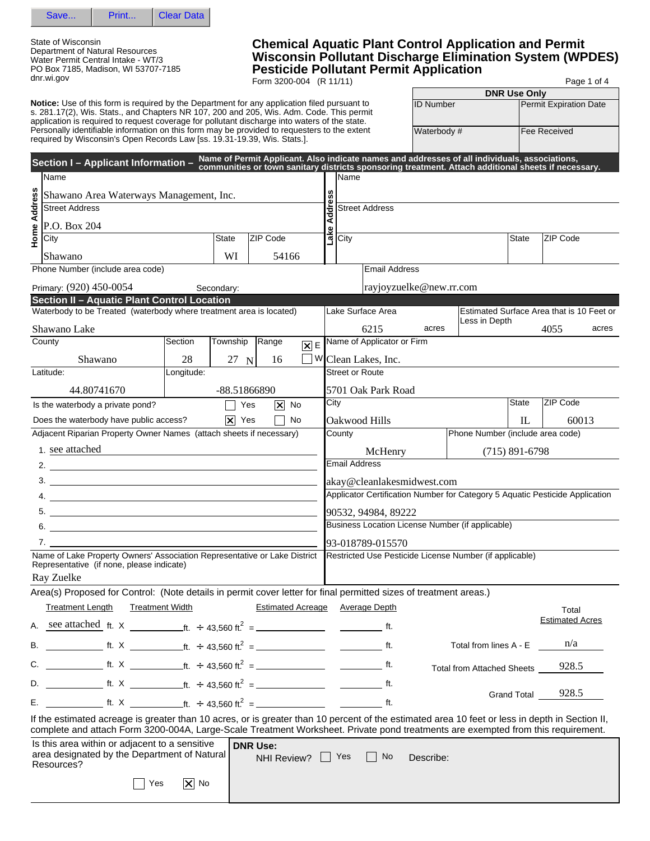

State of Wisconsin Department of Natural Resources Water Permit Central Intake - WT/3 PO Box 7185, Madison, WI 53707-7185 dnr.wi.gov

## **Chemical Aquatic Plant Control Application and Permit Wisconsin Pollutant Discharge Elimination System (WPDES) Pesticide Pollutant Permit Application**

Form 3200-004 (R 11/11) Page 1 of 4

|              |                                                                                                                                                                                                                                                                                                  |            |                    |                 |                          |        |                              |                            |                            |                                                                              | <b>DNR Use Only</b> |                        |       |
|--------------|--------------------------------------------------------------------------------------------------------------------------------------------------------------------------------------------------------------------------------------------------------------------------------------------------|------------|--------------------|-----------------|--------------------------|--------|------------------------------|----------------------------|----------------------------|------------------------------------------------------------------------------|---------------------|------------------------|-------|
|              | <b>Notice:</b> Use of this form is required by the Department for any application filed pursuant to<br>s. 281.17(2), Wis. Stats., and Chapters NR 107, 200 and 205, Wis. Adm. Code. This permit<br>application is required to request coverage for pollutant discharge into waters of the state. |            |                    |                 |                          |        |                              |                            | <b>ID Number</b>           |                                                                              |                     | Permit Expiration Date |       |
|              | Personally identifiable information on this form may be provided to requesters to the extent<br>required by Wisconsin's Open Records Law [ss. 19.31-19.39, Wis. Stats.].                                                                                                                         |            |                    |                 |                          |        |                              |                            | Waterbody #                |                                                                              |                     | Fee Received           |       |
|              | Section I - Applicant Information - Name of Permit Applicant. Also indicate names and addresses of all individuals, associations,<br>Section I - Applicant Information - communities or town sanitary districts sponsoring treatm<br>Name                                                        |            |                    |                 |                          |        | lName                        |                            |                            |                                                                              |                     |                        |       |
|              | Shawano Area Waterways Management, Inc.                                                                                                                                                                                                                                                          |            |                    |                 |                          |        |                              |                            |                            |                                                                              |                     |                        |       |
| Home Address | <b>Street Address</b>                                                                                                                                                                                                                                                                            |            |                    |                 |                          | ldress |                              | <b>Street Address</b>      |                            |                                                                              |                     |                        |       |
|              | P.O. Box 204                                                                                                                                                                                                                                                                                     |            |                    |                 |                          | ঽ      |                              |                            |                            |                                                                              |                     |                        |       |
|              | City                                                                                                                                                                                                                                                                                             |            | State              | ZIP Code        |                          |        | $\frac{Q}{\frac{Q}{Q}}$ City |                            |                            |                                                                              | State               | ZIP Code               |       |
|              | Shawano                                                                                                                                                                                                                                                                                          |            | WI                 |                 | 54166                    |        |                              |                            |                            |                                                                              |                     |                        |       |
|              | Phone Number (include area code)                                                                                                                                                                                                                                                                 |            |                    |                 |                          |        |                              | <b>Email Address</b>       |                            |                                                                              |                     |                        |       |
|              | Primary: (920) 450-0054                                                                                                                                                                                                                                                                          |            | Secondary:         |                 |                          |        |                              |                            | rayjoyzuelke@new.rr.com    |                                                                              |                     |                        |       |
|              | Section II - Aquatic Plant Control Location<br>Waterbody to be Treated (waterbody where treatment area is located)                                                                                                                                                                               |            |                    |                 |                          |        |                              | Lake Surface Area          |                            | Estimated Surface Area that is 10 Feet or                                    |                     |                        |       |
|              | Shawano Lake                                                                                                                                                                                                                                                                                     |            |                    |                 |                          |        |                              | 6215                       | acres                      | Less in Depth                                                                |                     | 4055                   | acres |
|              | County                                                                                                                                                                                                                                                                                           | Section    | Township           | Range           | $ \mathsf{X} $ E         |        |                              | Name of Applicator or Firm |                            |                                                                              |                     |                        |       |
|              | Shawano                                                                                                                                                                                                                                                                                          | 28         | 27 N               | 16              |                          |        |                              | WClean Lakes, Inc.         |                            |                                                                              |                     |                        |       |
|              | Latitude:                                                                                                                                                                                                                                                                                        | Longitude: |                    |                 |                          |        |                              | <b>Street or Route</b>     |                            |                                                                              |                     |                        |       |
|              | 44.80741670                                                                                                                                                                                                                                                                                      |            | -88.51866890       |                 |                          |        |                              | 5701 Oak Park Road         |                            |                                                                              |                     |                        |       |
|              | Is the waterbody a private pond?                                                                                                                                                                                                                                                                 |            |                    | Yes             | $\boxed{\mathsf{x}}$ No  | City   |                              |                            |                            |                                                                              | <b>State</b>        | ZIP Code               |       |
|              | Does the waterbody have public access?                                                                                                                                                                                                                                                           |            | $ \mathsf{x} $ Yes |                 | No                       |        |                              | Oakwood Hills              |                            |                                                                              | $\mathbb{L}$        |                        | 60013 |
|              | Adjacent Riparian Property Owner Names (attach sheets if necessary)                                                                                                                                                                                                                              |            |                    |                 |                          |        | County                       |                            |                            | Phone Number (include area code)                                             |                     |                        |       |
|              | 1. see attached<br><u> 1989 - Johann Barn, mars ann an t-Amhain Aonaichte ann an t-Aonaichte ann an t-Aonaichte ann an t-Aonaichte a</u>                                                                                                                                                         |            |                    |                 |                          |        |                              | McHenry                    |                            |                                                                              | $(715)$ 891-6798    |                        |       |
|              | 2.                                                                                                                                                                                                                                                                                               |            |                    |                 |                          |        |                              | <b>Email Address</b>       |                            |                                                                              |                     |                        |       |
|              |                                                                                                                                                                                                                                                                                                  |            |                    |                 |                          |        |                              |                            | akay@cleanlakesmidwest.com |                                                                              |                     |                        |       |
|              | $\overline{a}$ .                                                                                                                                                                                                                                                                                 |            |                    |                 |                          |        |                              |                            |                            | Applicator Certification Number for Category 5 Aquatic Pesticide Application |                     |                        |       |
|              |                                                                                                                                                                                                                                                                                                  |            |                    |                 |                          |        |                              | 90532, 94984, 89222        |                            |                                                                              |                     |                        |       |
|              | $6.$ $\overline{\phantom{a}}$                                                                                                                                                                                                                                                                    |            |                    |                 |                          |        |                              |                            |                            | Business Location License Number (if applicable)                             |                     |                        |       |
|              | Name of Lake Property Owners' Association Representative or Lake District                                                                                                                                                                                                                        |            |                    |                 |                          |        |                              | 93-018789-015570           |                            | Restricted Use Pesticide License Number (if applicable)                      |                     |                        |       |
|              | Representative (if none, please indicate)<br>Ray Zuelke                                                                                                                                                                                                                                          |            |                    |                 |                          |        |                              |                            |                            |                                                                              |                     |                        |       |
|              | Area(s) Proposed for Control: (Note details in permit cover letter for final permitted sizes of treatment areas.)                                                                                                                                                                                |            |                    |                 |                          |        |                              |                            |                            |                                                                              |                     |                        |       |
|              | <b>Treatment Length</b><br><b>Treatment Width</b>                                                                                                                                                                                                                                                |            |                    |                 | <b>Estimated Acreage</b> |        |                              | <b>Average Depth</b>       |                            |                                                                              |                     | Total                  |       |
|              |                                                                                                                                                                                                                                                                                                  |            |                    |                 |                          |        |                              |                            |                            |                                                                              |                     | <b>Estimated Acres</b> |       |
|              |                                                                                                                                                                                                                                                                                                  |            |                    |                 |                          |        |                              |                            |                            | Total from lines A - E                                                       |                     | n/a                    |       |
|              |                                                                                                                                                                                                                                                                                                  |            |                    |                 |                          |        |                              |                            |                            | <b>Total from Attached Sheets</b>                                            |                     | 928.5                  |       |
|              |                                                                                                                                                                                                                                                                                                  |            |                    |                 |                          |        |                              |                            |                            |                                                                              | <b>Grand Total</b>  | 928.5                  |       |
|              |                                                                                                                                                                                                                                                                                                  |            |                    |                 |                          |        |                              |                            |                            |                                                                              |                     |                        |       |
|              | If the estimated acreage is greater than 10 acres, or is greater than 10 percent of the estimated area 10 feet or less in depth in Section II,<br>complete and attach Form 3200-004A, Large-Scale Treatment Worksheet. Private pond treatments are exempted from this requirement.               |            |                    |                 |                          |        |                              |                            |                            |                                                                              |                     |                        |       |
|              | Is this area within or adjacent to a sensitive<br>area designated by the Department of Natural<br>Resources?                                                                                                                                                                                     |            |                    | <b>DNR Use:</b> | NHI Review?   Yes        |        |                              | No.<br>$\Box$              | Describe:                  |                                                                              |                     |                        |       |
|              | Yes                                                                                                                                                                                                                                                                                              | $ X $ No   |                    |                 |                          |        |                              |                            |                            |                                                                              |                     |                        |       |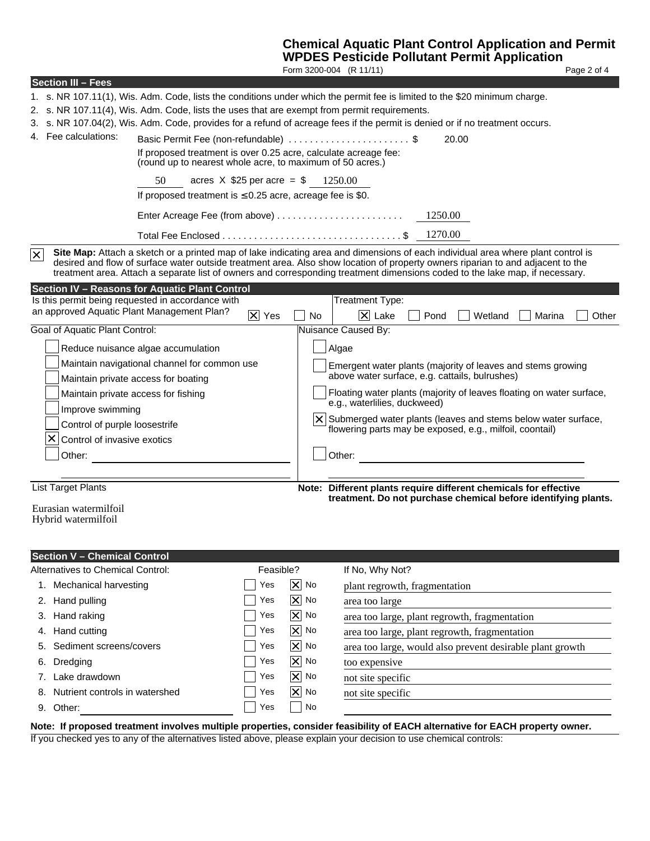# **Chemical Aquatic Plant Control Application and Permit**

|                                                                                                                                                                                                                                                                                                                                                                                                                                                                                                                         | <b>WPDES Pesticide Pollutant Permit Application</b><br>Form 3200-004 (R 11/11)                                                                                                 | Page 2 of 4                                                    |
|-------------------------------------------------------------------------------------------------------------------------------------------------------------------------------------------------------------------------------------------------------------------------------------------------------------------------------------------------------------------------------------------------------------------------------------------------------------------------------------------------------------------------|--------------------------------------------------------------------------------------------------------------------------------------------------------------------------------|----------------------------------------------------------------|
| <b>Section III - Fees</b>                                                                                                                                                                                                                                                                                                                                                                                                                                                                                               |                                                                                                                                                                                |                                                                |
| 1. s. NR 107.11(1), Wis. Adm. Code, lists the conditions under which the permit fee is limited to the \$20 minimum charge.<br>2. s. NR 107.11(4), Wis. Adm. Code, lists the uses that are exempt from permit requirements.<br>3. s. NR 107.04(2), Wis. Adm. Code, provides for a refund of acreage fees if the permit is denied or if no treatment occurs.<br>4. Fee calculations:<br>(round up to nearest whole acre, to maximum of 50 acres.)<br>50<br>If proposed treatment is $\leq$ 0.25 acre, acreage fee is \$0. | Basic Permit Fee (non-refundable) \$<br>20.00<br>If proposed treatment is over 0.25 acre, calculate acreage fee:<br>acres $X$ \$25 per acre = \$ 1250.00<br>1250.00<br>1270.00 |                                                                |
| $\overline{\times}$<br>Site Map: Attach a sketch or a printed map of lake indicating area and dimensions of each individual area where plant control is<br>desired and flow of surface water outside treatment area. Also show location of property owners riparian to and adjacent to the<br>treatment area. Attach a separate list of owners and corresponding treatment dimensions coded to the lake map, if necessary.                                                                                              |                                                                                                                                                                                |                                                                |
| <b>Section IV - Reasons for Aquatic Plant Control</b>                                                                                                                                                                                                                                                                                                                                                                                                                                                                   |                                                                                                                                                                                |                                                                |
| Is this permit being requested in accordance with<br>an approved Aquatic Plant Management Plan?                                                                                                                                                                                                                                                                                                                                                                                                                         | Treatment Type:                                                                                                                                                                |                                                                |
| $ \mathsf{X} $ Yes                                                                                                                                                                                                                                                                                                                                                                                                                                                                                                      | $ \mathsf{X} $ Lake<br><b>No</b><br>Pond                                                                                                                                       | Wetland<br>Marina<br>Other                                     |
| Goal of Aquatic Plant Control:                                                                                                                                                                                                                                                                                                                                                                                                                                                                                          | Nuisance Caused By:                                                                                                                                                            |                                                                |
| Reduce nuisance algae accumulation                                                                                                                                                                                                                                                                                                                                                                                                                                                                                      | Algae                                                                                                                                                                          |                                                                |
| Maintain navigational channel for common use                                                                                                                                                                                                                                                                                                                                                                                                                                                                            | Emergent water plants (majority of leaves and stems growing                                                                                                                    |                                                                |
| Maintain private access for boating                                                                                                                                                                                                                                                                                                                                                                                                                                                                                     | above water surface, e.g. cattails, bulrushes)                                                                                                                                 |                                                                |
| Maintain private access for fishing                                                                                                                                                                                                                                                                                                                                                                                                                                                                                     | Floating water plants (majority of leaves floating on water surface,                                                                                                           |                                                                |
| Improve swimming                                                                                                                                                                                                                                                                                                                                                                                                                                                                                                        | e.g., waterlilies, duckweed)                                                                                                                                                   |                                                                |
| Control of purple loosestrife                                                                                                                                                                                                                                                                                                                                                                                                                                                                                           | $X$ Submerged water plants (leaves and stems below water surface,                                                                                                              |                                                                |
| ×<br>Control of invasive exotics                                                                                                                                                                                                                                                                                                                                                                                                                                                                                        | flowering parts may be exposed, e.g., milfoil, coontail)                                                                                                                       |                                                                |
| Other:                                                                                                                                                                                                                                                                                                                                                                                                                                                                                                                  | Other:                                                                                                                                                                         |                                                                |
|                                                                                                                                                                                                                                                                                                                                                                                                                                                                                                                         |                                                                                                                                                                                |                                                                |
| <b>List Target Plants</b>                                                                                                                                                                                                                                                                                                                                                                                                                                                                                               |                                                                                                                                                                                |                                                                |
|                                                                                                                                                                                                                                                                                                                                                                                                                                                                                                                         | Note: Different plants require different chemicals for effective                                                                                                               | treatment. Do not purchase chemical before identifying plants. |
| Eurasian watermilfoil                                                                                                                                                                                                                                                                                                                                                                                                                                                                                                   |                                                                                                                                                                                |                                                                |
| Hybrid watermilfoil                                                                                                                                                                                                                                                                                                                                                                                                                                                                                                     |                                                                                                                                                                                |                                                                |
|                                                                                                                                                                                                                                                                                                                                                                                                                                                                                                                         |                                                                                                                                                                                |                                                                |
| <b>Section V - Chemical Control</b>                                                                                                                                                                                                                                                                                                                                                                                                                                                                                     |                                                                                                                                                                                |                                                                |
| Alternatives to Chemical Control:                                                                                                                                                                                                                                                                                                                                                                                                                                                                                       | If No, Why Not?<br>Feasible?                                                                                                                                                   |                                                                |
| Mechanical harvesting<br>1.                                                                                                                                                                                                                                                                                                                                                                                                                                                                                             | $ \mathsf{X} $ No<br>Yes<br>plant regrowth, fragmentation                                                                                                                      |                                                                |
| Hand pulling<br>2.                                                                                                                                                                                                                                                                                                                                                                                                                                                                                                      | 冈<br>No<br>Yes<br>area too large                                                                                                                                               |                                                                |
| Hand raking<br>3.                                                                                                                                                                                                                                                                                                                                                                                                                                                                                                       | $\overline{\bm{\times}}$<br>No<br>Yes<br>area too large, plant regrowth, fragmentation                                                                                         |                                                                |
| Hand cutting<br>4.                                                                                                                                                                                                                                                                                                                                                                                                                                                                                                      | $\overline{\mathsf{x}}$<br>No<br>Yes<br>area too large, plant regrowth, fragmentation                                                                                          |                                                                |
| Sediment screens/covers<br>5.                                                                                                                                                                                                                                                                                                                                                                                                                                                                                           | $\overline{\bm{\times}}$<br>No<br>Yes                                                                                                                                          |                                                                |
|                                                                                                                                                                                                                                                                                                                                                                                                                                                                                                                         | area too large, would also prevent desirable plant growth<br>$\overline{\bm{\times}}$<br>No<br>Yes                                                                             |                                                                |
| Dredging<br>6.                                                                                                                                                                                                                                                                                                                                                                                                                                                                                                          | too expensive<br>No                                                                                                                                                            |                                                                |
| Lake drawdown<br>7.                                                                                                                                                                                                                                                                                                                                                                                                                                                                                                     | $\overline{\bm{\times}}$<br>Yes<br>not site specific                                                                                                                           |                                                                |
| Nutrient controls in watershed                                                                                                                                                                                                                                                                                                                                                                                                                                                                                          | $\overline{\bm{\mathsf{x}}}$<br>Yes<br>No<br>not site specific                                                                                                                 |                                                                |
| 9. Other:                                                                                                                                                                                                                                                                                                                                                                                                                                                                                                               | Yes<br>No                                                                                                                                                                      |                                                                |

**Note: If proposed treatment involves multiple properties, consider feasibility of EACH alternative for EACH property owner.**

If you checked yes to any of the alternatives listed above, please explain your decision to use chemical controls: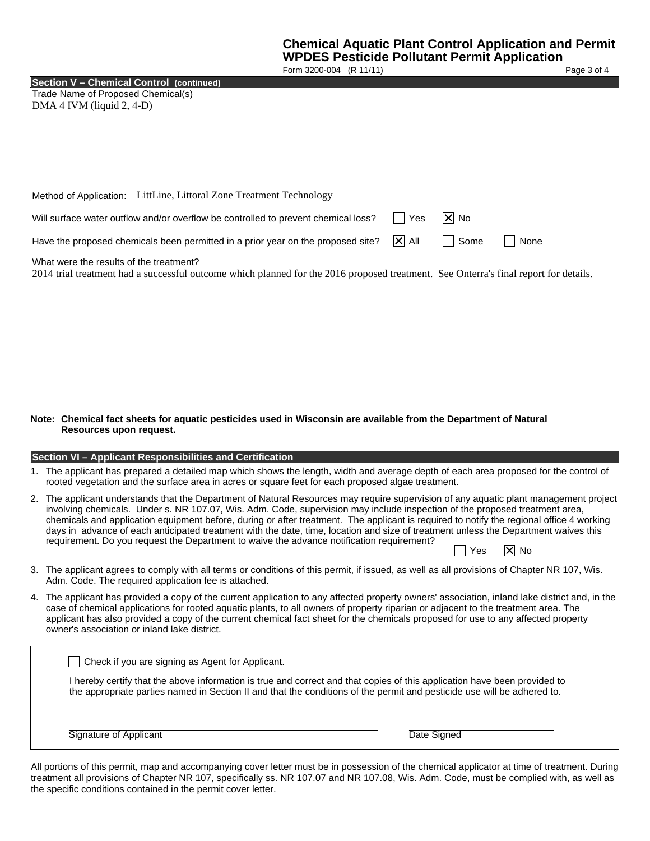Form 3200-004 (R 11/11) Page 3 of 4

**Section V – Chemical Control (continued)**

Trade Name of Proposed Chemical(s) DMA 4 IVM (liquid 2, 4-D)

|                                         | Method of Application: LittLine, Littoral Zone Treatment Technology                |         |       |      |  |
|-----------------------------------------|------------------------------------------------------------------------------------|---------|-------|------|--|
|                                         | Will surface water outflow and/or overflow be controlled to prevent chemical loss? | l Yes   | XI No |      |  |
|                                         | Have the proposed chemicals been permitted in a prior year on the proposed site?   | ∣XI All | Some  | None |  |
| What were the results of the treatment? |                                                                                    |         |       |      |  |

2014 trial treatment had a successful outcome which planned for the 2016 proposed treatment. See Onterra's final report for details.

#### **Note: Chemical fact sheets for aquatic pesticides used in Wisconsin are available from the Department of Natural Resources upon request.**

#### **Section VI – Applicant Responsibilities and Certification**

- 1. The applicant has prepared a detailed map which shows the length, width and average depth of each area proposed for the control of rooted vegetation and the surface area in acres or square feet for each proposed algae treatment.
- 2. The applicant understands that the Department of Natural Resources may require supervision of any aquatic plant management project involving chemicals. Under s. NR 107.07, Wis. Adm. Code, supervision may include inspection of the proposed treatment area, chemicals and application equipment before, during or after treatment. The applicant is required to notify the regional office 4 working days in advance of each anticipated treatment with the date, time, location and size of treatment unless the Department waives this requirement. Do you request the Department to waive the advance notification requirement?  $\Box$  Yes  $\Box$  No
- 3. The applicant agrees to comply with all terms or conditions of this permit, if issued, as well as all provisions of Chapter NR 107, Wis. Adm. Code. The required application fee is attached.
- 4. The applicant has provided a copy of the current application to any affected property owners' association, inland lake district and, in the case of chemical applications for rooted aquatic plants, to all owners of property riparian or adjacent to the treatment area. The applicant has also provided a copy of the current chemical fact sheet for the chemicals proposed for use to any affected property owner's association or inland lake district.

| I hereby certify that the above information is true and correct and that copies of this application have been provided to<br>the appropriate parties named in Section II and that the conditions of the permit and pesticide use will be adhered to. |
|------------------------------------------------------------------------------------------------------------------------------------------------------------------------------------------------------------------------------------------------------|
| Date Signed                                                                                                                                                                                                                                          |
|                                                                                                                                                                                                                                                      |

All portions of this permit, map and accompanying cover letter must be in possession of the chemical applicator at time of treatment. During treatment all provisions of Chapter NR 107, specifically ss. NR 107.07 and NR 107.08, Wis. Adm. Code, must be complied with, as well as the specific conditions contained in the permit cover letter.